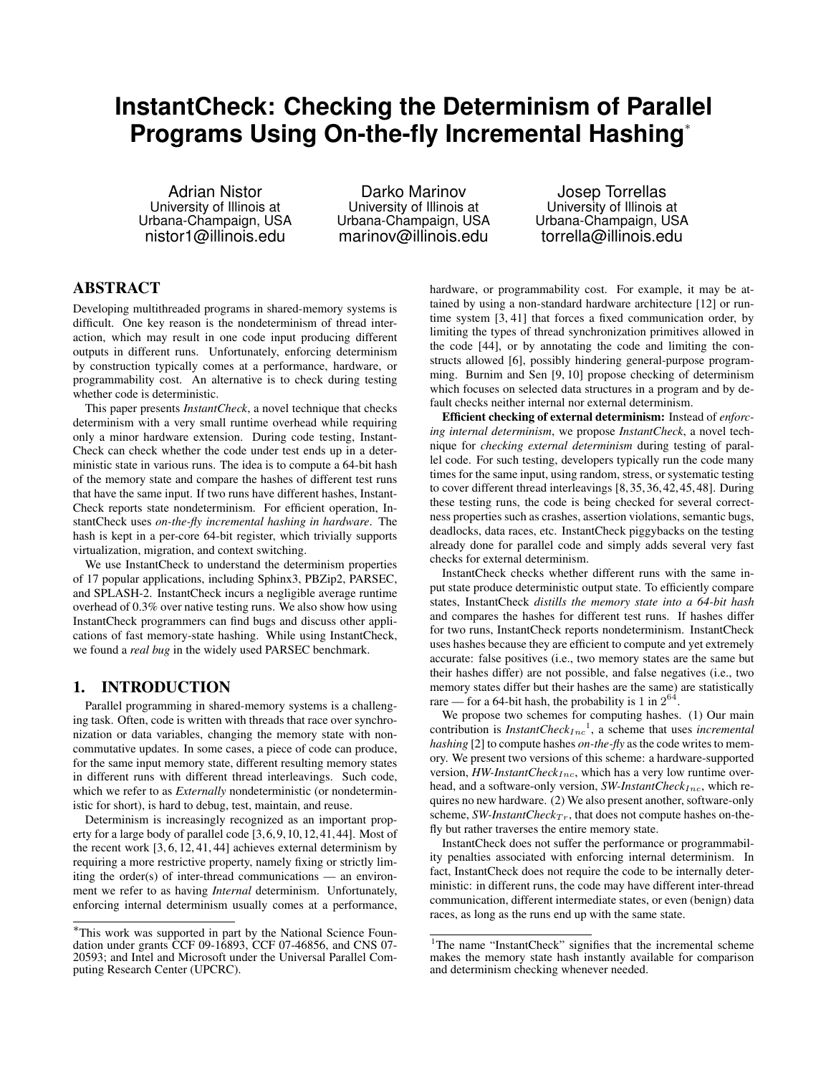# **InstantCheck: Checking the Determinism of Parallel Programs Using On-the-fly Incremental Hashing**<sup>∗</sup>

Adrian Nistor University of Illinois at Urbana-Champaign, USA nistor1@illinois.edu

Darko Marinov University of Illinois at Urbana-Champaign, USA marinov@illinois.edu

Josep Torrellas University of Illinois at Urbana-Champaign, USA torrella@illinois.edu

## ABSTRACT

Developing multithreaded programs in shared-memory systems is difficult. One key reason is the nondeterminism of thread interaction, which may result in one code input producing different outputs in different runs. Unfortunately, enforcing determinism by construction typically comes at a performance, hardware, or programmability cost. An alternative is to check during testing whether code is deterministic.

This paper presents *InstantCheck*, a novel technique that checks determinism with a very small runtime overhead while requiring only a minor hardware extension. During code testing, Instant-Check can check whether the code under test ends up in a deterministic state in various runs. The idea is to compute a 64-bit hash of the memory state and compare the hashes of different test runs that have the same input. If two runs have different hashes, Instant-Check reports state nondeterminism. For efficient operation, InstantCheck uses *on-the-fly incremental hashing in hardware*. The hash is kept in a per-core 64-bit register, which trivially supports virtualization, migration, and context switching.

We use InstantCheck to understand the determinism properties of 17 popular applications, including Sphinx3, PBZip2, PARSEC, and SPLASH-2. InstantCheck incurs a negligible average runtime overhead of 0.3% over native testing runs. We also show how using InstantCheck programmers can find bugs and discuss other applications of fast memory-state hashing. While using InstantCheck, we found a *real bug* in the widely used PARSEC benchmark.

## 1. INTRODUCTION

Parallel programming in shared-memory systems is a challenging task. Often, code is written with threads that race over synchronization or data variables, changing the memory state with noncommutative updates. In some cases, a piece of code can produce, for the same input memory state, different resulting memory states in different runs with different thread interleavings. Such code, which we refer to as *Externally* nondeterministic (or nondeterministic for short), is hard to debug, test, maintain, and reuse.

Determinism is increasingly recognized as an important property for a large body of parallel code [3,6,9,10,12,41,44]. Most of the recent work [3, 6, 12, 41, 44] achieves external determinism by requiring a more restrictive property, namely fixing or strictly limiting the order(s) of inter-thread communications — an environment we refer to as having *Internal* determinism. Unfortunately, enforcing internal determinism usually comes at a performance, hardware, or programmability cost. For example, it may be attained by using a non-standard hardware architecture [12] or runtime system [3, 41] that forces a fixed communication order, by limiting the types of thread synchronization primitives allowed in the code [44], or by annotating the code and limiting the constructs allowed [6], possibly hindering general-purpose programming. Burnim and Sen [9, 10] propose checking of determinism which focuses on selected data structures in a program and by default checks neither internal nor external determinism.

Efficient checking of external determinism: Instead of *enforcing internal determinism*, we propose *InstantCheck*, a novel technique for *checking external determinism* during testing of parallel code. For such testing, developers typically run the code many times for the same input, using random, stress, or systematic testing to cover different thread interleavings [8,35,36,42,45,48]. During these testing runs, the code is being checked for several correctness properties such as crashes, assertion violations, semantic bugs, deadlocks, data races, etc. InstantCheck piggybacks on the testing already done for parallel code and simply adds several very fast checks for external determinism.

InstantCheck checks whether different runs with the same input state produce deterministic output state. To efficiently compare states, InstantCheck *distills the memory state into a 64-bit hash* and compares the hashes for different test runs. If hashes differ for two runs, InstantCheck reports nondeterminism. InstantCheck uses hashes because they are efficient to compute and yet extremely accurate: false positives (i.e., two memory states are the same but their hashes differ) are not possible, and false negatives (i.e., two memory states differ but their hashes are the same) are statistically rare — for a 64-bit hash, the probability is 1 in  $2^{64}$ .

We propose two schemes for computing hashes. (1) Our main contribution is *InstantCheck*<sub>Inc</sub><sup>1</sup>, a scheme that uses *incremental hashing* [2] to compute hashes *on-the-fly* as the code writes to memory. We present two versions of this scheme: a hardware-supported version, *HW-InstantCheck<sub>Inc</sub>*, which has a very low runtime overhead, and a software-only version, *SW-InstantCheck<sub>Inc</sub>*, which requires no new hardware. (2) We also present another, software-only scheme,  $SW-InstantCheck_{Tr}$ , that does not compute hashes on-thefly but rather traverses the entire memory state.

InstantCheck does not suffer the performance or programmability penalties associated with enforcing internal determinism. In fact, InstantCheck does not require the code to be internally deterministic: in different runs, the code may have different inter-thread communication, different intermediate states, or even (benign) data races, as long as the runs end up with the same state.

<sup>∗</sup>This work was supported in part by the National Science Foundation under grants CCF 09-16893, CCF 07-46856, and CNS 07- 20593; and Intel and Microsoft under the Universal Parallel Computing Research Center (UPCRC).

<sup>&</sup>lt;sup>1</sup>The name "InstantCheck" signifies that the incremental scheme makes the memory state hash instantly available for comparison and determinism checking whenever needed.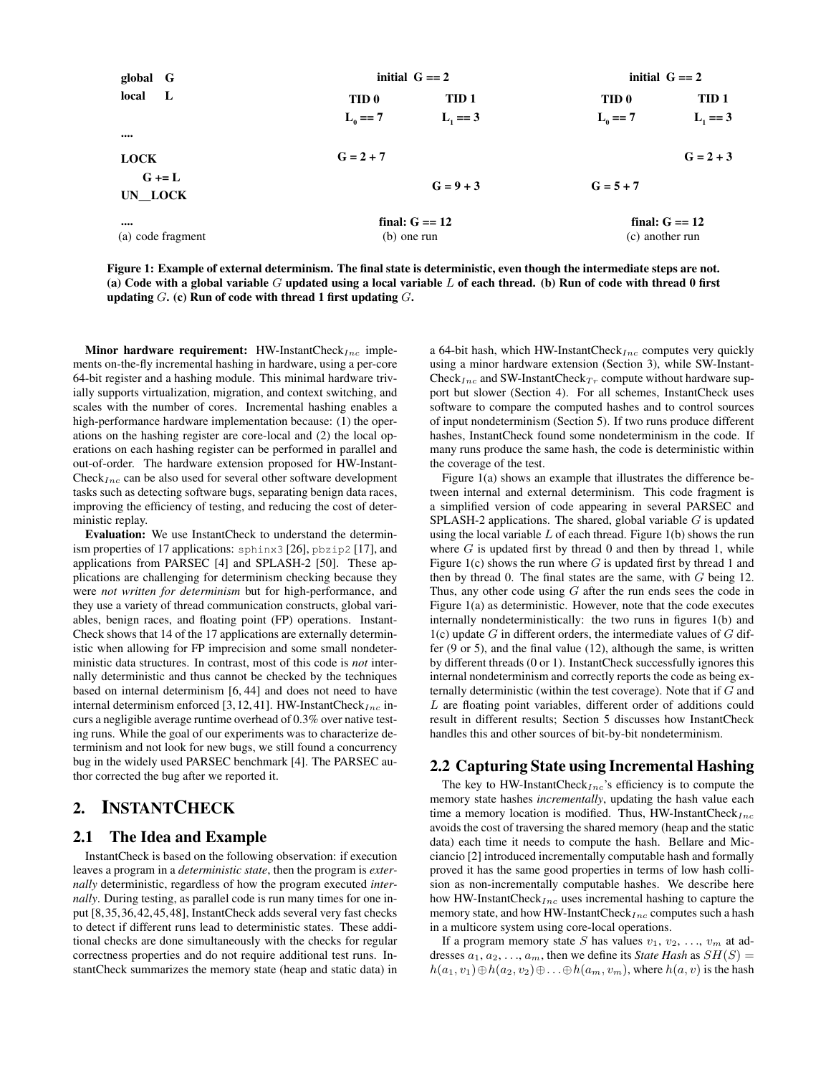| global G          |                  | initial $G == 2$ | initial $G == 2$                            |  |  |  |
|-------------------|------------------|------------------|---------------------------------------------|--|--|--|
| local<br>L        | TID <sub>0</sub> | TID <sub>1</sub> | TID <sub>1</sub><br><b>TID</b> <sub>0</sub> |  |  |  |
|                   | $L_{0} == 7$     | $L_1 == 3$       | $L_1 == 3$<br>$L_{0} = 7$                   |  |  |  |
|                   |                  |                  |                                             |  |  |  |
| <b>LOCK</b>       | $G = 2 + 7$      |                  | $G = 2 + 3$                                 |  |  |  |
| $G \equiv L$      |                  | $G = 9 + 3$      | $G = 5 + 7$                                 |  |  |  |
| UN_LOCK           |                  |                  |                                             |  |  |  |
|                   | final: $G == 12$ |                  | final: $G == 12$                            |  |  |  |
| (a) code fragment |                  | $(b)$ one run    | (c) another run                             |  |  |  |

Figure 1: Example of external determinism. The final state is deterministic, even though the intermediate steps are not. (a) Code with a global variable  $G$  updated using a local variable  $L$  of each thread. (b) Run of code with thread 0 first updating  $G$ . (c) Run of code with thread 1 first updating  $G$ .

Minor hardware requirement: HW-InstantCheck $_{Inc}$  implements on-the-fly incremental hashing in hardware, using a per-core 64-bit register and a hashing module. This minimal hardware trivially supports virtualization, migration, and context switching, and scales with the number of cores. Incremental hashing enables a high-performance hardware implementation because: (1) the operations on the hashing register are core-local and (2) the local operations on each hashing register can be performed in parallel and out-of-order. The hardware extension proposed for HW-Instant- $Check_{Inc}$  can be also used for several other software development tasks such as detecting software bugs, separating benign data races, improving the efficiency of testing, and reducing the cost of deterministic replay.

Evaluation: We use InstantCheck to understand the determinism properties of 17 applications: sphinx3 [26], pbzip2 [17], and applications from PARSEC [4] and SPLASH-2 [50]. These applications are challenging for determinism checking because they were *not written for determinism* but for high-performance, and they use a variety of thread communication constructs, global variables, benign races, and floating point (FP) operations. Instant-Check shows that 14 of the 17 applications are externally deterministic when allowing for FP imprecision and some small nondeterministic data structures. In contrast, most of this code is *not* internally deterministic and thus cannot be checked by the techniques based on internal determinism [6, 44] and does not need to have internal determinism enforced [3, 12, 41]. HW-InstantCheck<sub>Inc</sub> incurs a negligible average runtime overhead of 0.3% over native testing runs. While the goal of our experiments was to characterize determinism and not look for new bugs, we still found a concurrency bug in the widely used PARSEC benchmark [4]. The PARSEC author corrected the bug after we reported it.

# 2. INSTANTCHECK

## 2.1 The Idea and Example

InstantCheck is based on the following observation: if execution leaves a program in a *deterministic state*, then the program is *externally* deterministic, regardless of how the program executed *internally*. During testing, as parallel code is run many times for one input [8,35,36,42,45,48], InstantCheck adds several very fast checks to detect if different runs lead to deterministic states. These additional checks are done simultaneously with the checks for regular correctness properties and do not require additional test runs. InstantCheck summarizes the memory state (heap and static data) in a 64-bit hash, which HW-InstantCheck $_{Inc}$  computes very quickly using a minor hardware extension (Section 3), while SW-Instant-Check<sub>Inc</sub> and SW-InstantCheck<sub>Tr</sub> compute without hardware support but slower (Section 4). For all schemes, InstantCheck uses software to compare the computed hashes and to control sources of input nondeterminism (Section 5). If two runs produce different hashes, InstantCheck found some nondeterminism in the code. If many runs produce the same hash, the code is deterministic within the coverage of the test.

Figure 1(a) shows an example that illustrates the difference between internal and external determinism. This code fragment is a simplified version of code appearing in several PARSEC and SPLASH-2 applications. The shared, global variable  $G$  is updated using the local variable  $L$  of each thread. Figure 1(b) shows the run where  $G$  is updated first by thread 0 and then by thread 1, while Figure 1(c) shows the run where  $G$  is updated first by thread 1 and then by thread 0. The final states are the same, with  $G$  being 12. Thus, any other code using  $G$  after the run ends sees the code in Figure 1(a) as deterministic. However, note that the code executes internally nondeterministically: the two runs in figures 1(b) and  $1(c)$  update G in different orders, the intermediate values of G differ (9 or 5), and the final value (12), although the same, is written by different threads (0 or 1). InstantCheck successfully ignores this internal nondeterminism and correctly reports the code as being externally deterministic (within the test coverage). Note that if  $G$  and L are floating point variables, different order of additions could result in different results; Section 5 discusses how InstantCheck handles this and other sources of bit-by-bit nondeterminism.

#### 2.2 Capturing State using Incremental Hashing

The key to HW-InstantCheck $_{Inc}$ 's efficiency is to compute the memory state hashes *incrementally*, updating the hash value each time a memory location is modified. Thus, HW-InstantCheck $_{Inc}$ avoids the cost of traversing the shared memory (heap and the static data) each time it needs to compute the hash. Bellare and Micciancio [2] introduced incrementally computable hash and formally proved it has the same good properties in terms of low hash collision as non-incrementally computable hashes. We describe here how HW-InstantCheck<sub>Inc</sub> uses incremental hashing to capture the memory state, and how HW-InstantCheck<sub>Inc</sub> computes such a hash in a multicore system using core-local operations.

If a program memory state S has values  $v_1, v_2, \ldots, v_m$  at addresses  $a_1, a_2, \ldots, a_m$ , then we define its *State Hash* as  $SH(S)$  =  $h(a_1, v_1) \oplus h(a_2, v_2) \oplus \ldots \oplus h(a_m, v_m)$ , where  $h(a, v)$  is the hash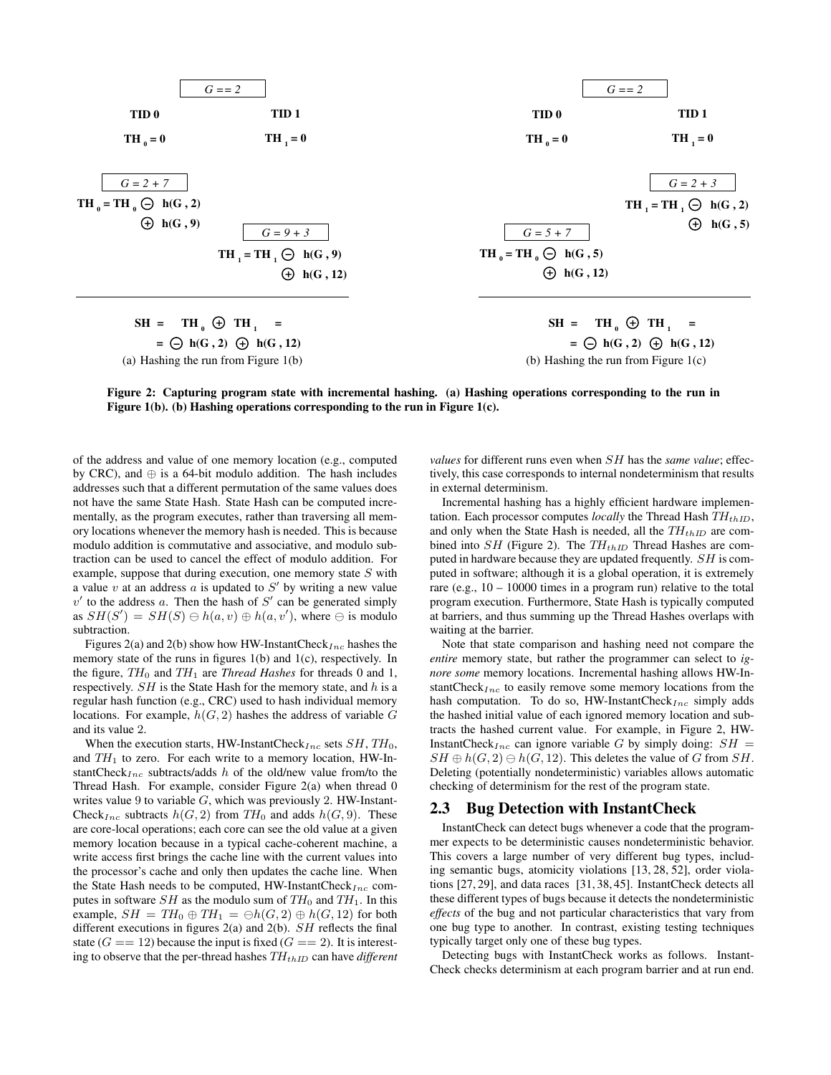

Figure 2: Capturing program state with incremental hashing. (a) Hashing operations corresponding to the run in Figure 1(b). (b) Hashing operations corresponding to the run in Figure 1(c).

of the address and value of one memory location (e.g., computed by CRC), and  $\oplus$  is a 64-bit modulo addition. The hash includes addresses such that a different permutation of the same values does not have the same State Hash. State Hash can be computed incrementally, as the program executes, rather than traversing all memory locations whenever the memory hash is needed. This is because modulo addition is commutative and associative, and modulo subtraction can be used to cancel the effect of modulo addition. For example, suppose that during execution, one memory state  $S$  with a value  $v$  at an address  $a$  is updated to  $S'$  by writing a new value  $v'$  to the address a. Then the hash of  $S'$  can be generated simply as  $SH(S') = SH(S) \ominus h(a, v) \oplus h(a, v')$ , where  $\ominus$  is modulo subtraction.

Figures 2(a) and 2(b) show how HW-InstantCheck<sub>Inc</sub> hashes the memory state of the runs in figures 1(b) and 1(c), respectively. In the figure,  $TH_0$  and  $TH_1$  are *Thread Hashes* for threads 0 and 1, respectively.  $SH$  is the State Hash for the memory state, and  $h$  is a regular hash function (e.g., CRC) used to hash individual memory locations. For example,  $h(G, 2)$  hashes the address of variable  $G$ and its value 2.

When the execution starts, HW-InstantCheck<sub>Inc</sub> sets  $SH, TH_0$ , and  $TH_1$  to zero. For each write to a memory location, HW-InstantCheck<sub>Inc</sub> subtracts/adds h of the old/new value from/to the Thread Hash. For example, consider Figure 2(a) when thread 0 writes value 9 to variable  $G$ , which was previously 2. HW-Instant-Check<sub>Inc</sub> subtracts  $h(G, 2)$  from TH<sub>0</sub> and adds  $h(G, 9)$ . These are core-local operations; each core can see the old value at a given memory location because in a typical cache-coherent machine, a write access first brings the cache line with the current values into the processor's cache and only then updates the cache line. When the State Hash needs to be computed, HW-InstantCheck<sub>Inc</sub> computes in software SH as the modulo sum of  $TH_0$  and  $TH_1$ . In this example,  $SH = TH_0 \oplus TH_1 = \bigoplus h(G, 2) \oplus h(G, 12)$  for both different executions in figures  $2(a)$  and  $2(b)$ . *SH* reflects the final state  $(G == 12)$  because the input is fixed  $(G == 2)$ . It is interesting to observe that the per-thread hashes  $TH<sub>thID</sub>$  can have *different* 

*values* for different runs even when SH has the *same value*; effectively, this case corresponds to internal nondeterminism that results in external determinism.

Incremental hashing has a highly efficient hardware implementation. Each processor computes *locally* the Thread Hash  $TH<sub>thID</sub>$ , and only when the State Hash is needed, all the  $TH<sub>thID</sub>$  are combined into  $SH$  (Figure 2). The  $TH_{thID}$  Thread Hashes are computed in hardware because they are updated frequently. SH is computed in software; although it is a global operation, it is extremely rare (e.g.,  $10 - 10000$  times in a program run) relative to the total program execution. Furthermore, State Hash is typically computed at barriers, and thus summing up the Thread Hashes overlaps with waiting at the barrier.

Note that state comparison and hashing need not compare the *entire* memory state, but rather the programmer can select to *ignore some* memory locations. Incremental hashing allows HW-InstantCheck $_{Inc}$  to easily remove some memory locations from the hash computation. To do so, HW-InstantCheck $_{Inc}$  simply adds the hashed initial value of each ignored memory location and subtracts the hashed current value. For example, in Figure 2, HW-InstantCheck<sub>Inc</sub> can ignore variable G by simply doing:  $SH =$  $SH \oplus h(G, 2) \oplus h(G, 12)$ . This deletes the value of G from SH. Deleting (potentially nondeterministic) variables allows automatic checking of determinism for the rest of the program state.

#### 2.3 Bug Detection with InstantCheck

InstantCheck can detect bugs whenever a code that the programmer expects to be deterministic causes nondeterministic behavior. This covers a large number of very different bug types, including semantic bugs, atomicity violations [13, 28, 52], order violations [27, 29], and data races [31, 38, 45]. InstantCheck detects all these different types of bugs because it detects the nondeterministic *effects* of the bug and not particular characteristics that vary from one bug type to another. In contrast, existing testing techniques typically target only one of these bug types.

Detecting bugs with InstantCheck works as follows. Instant-Check checks determinism at each program barrier and at run end.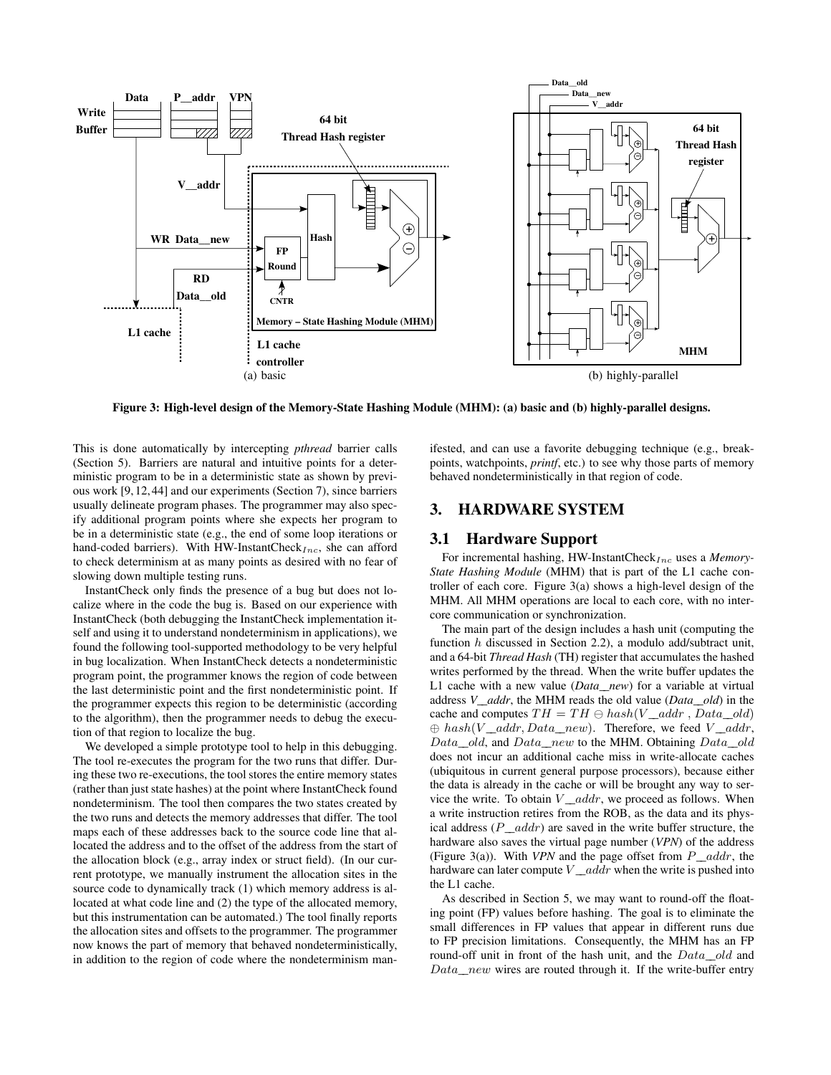

Figure 3: High-level design of the Memory-State Hashing Module (MHM): (a) basic and (b) highly-parallel designs.

This is done automatically by intercepting *pthread* barrier calls (Section 5). Barriers are natural and intuitive points for a deterministic program to be in a deterministic state as shown by previous work [9,12,44] and our experiments (Section 7), since barriers usually delineate program phases. The programmer may also specify additional program points where she expects her program to be in a deterministic state (e.g., the end of some loop iterations or hand-coded barriers). With HW-InstantCheck $_{Inc}$ , she can afford to check determinism at as many points as desired with no fear of slowing down multiple testing runs.

InstantCheck only finds the presence of a bug but does not localize where in the code the bug is. Based on our experience with InstantCheck (both debugging the InstantCheck implementation itself and using it to understand nondeterminism in applications), we found the following tool-supported methodology to be very helpful in bug localization. When InstantCheck detects a nondeterministic program point, the programmer knows the region of code between the last deterministic point and the first nondeterministic point. If the programmer expects this region to be deterministic (according to the algorithm), then the programmer needs to debug the execution of that region to localize the bug.

We developed a simple prototype tool to help in this debugging. The tool re-executes the program for the two runs that differ. During these two re-executions, the tool stores the entire memory states (rather than just state hashes) at the point where InstantCheck found nondeterminism. The tool then compares the two states created by the two runs and detects the memory addresses that differ. The tool maps each of these addresses back to the source code line that allocated the address and to the offset of the address from the start of the allocation block (e.g., array index or struct field). (In our current prototype, we manually instrument the allocation sites in the source code to dynamically track (1) which memory address is allocated at what code line and (2) the type of the allocated memory, but this instrumentation can be automated.) The tool finally reports the allocation sites and offsets to the programmer. The programmer now knows the part of memory that behaved nondeterministically, in addition to the region of code where the nondeterminism manifested, and can use a favorite debugging technique (e.g., breakpoints, watchpoints, *printf*, etc.) to see why those parts of memory behaved nondeterministically in that region of code.

## 3. HARDWARE SYSTEM

#### 3.1 Hardware Support

For incremental hashing, HW-InstantCheck<sub>Inc</sub> uses a *Memory*-*State Hashing Module* (MHM) that is part of the L1 cache controller of each core. Figure 3(a) shows a high-level design of the MHM. All MHM operations are local to each core, with no intercore communication or synchronization.

The main part of the design includes a hash unit (computing the function h discussed in Section 2.2), a modulo add/subtract unit, and a 64-bit *Thread Hash* (TH) register that accumulates the hashed writes performed by the thread. When the write buffer updates the L1 cache with a new value (*Data\_\_new*) for a variable at virtual address *V\_\_addr*, the MHM reads the old value (*Data\_\_old*) in the cache and computes  $TH = TH \ominus hash(V\_addr, Data\_old)$  $\oplus$  hash(V\_addr, Data\_new). Therefore, we feed V\_addr, Data old, and Data new to the MHM. Obtaining Data old does not incur an additional cache miss in write-allocate caches (ubiquitous in current general purpose processors), because either the data is already in the cache or will be brought any way to service the write. To obtain  $V\_addr$ , we proceed as follows. When a write instruction retires from the ROB, as the data and its physical address  $(P_{ad}ddr)$  are saved in the write buffer structure, the hardware also saves the virtual page number (*VPN*) of the address (Figure 3(a)). With *VPN* and the page offset from  $P\_addr$ , the hardware can later compute  $V\_addr$  when the write is pushed into the L1 cache.

As described in Section 5, we may want to round-off the floating point (FP) values before hashing. The goal is to eliminate the small differences in FP values that appear in different runs due to FP precision limitations. Consequently, the MHM has an FP round-off unit in front of the hash unit, and the  $Data\_old$  and  $Data\_new$  wires are routed through it. If the write-buffer entry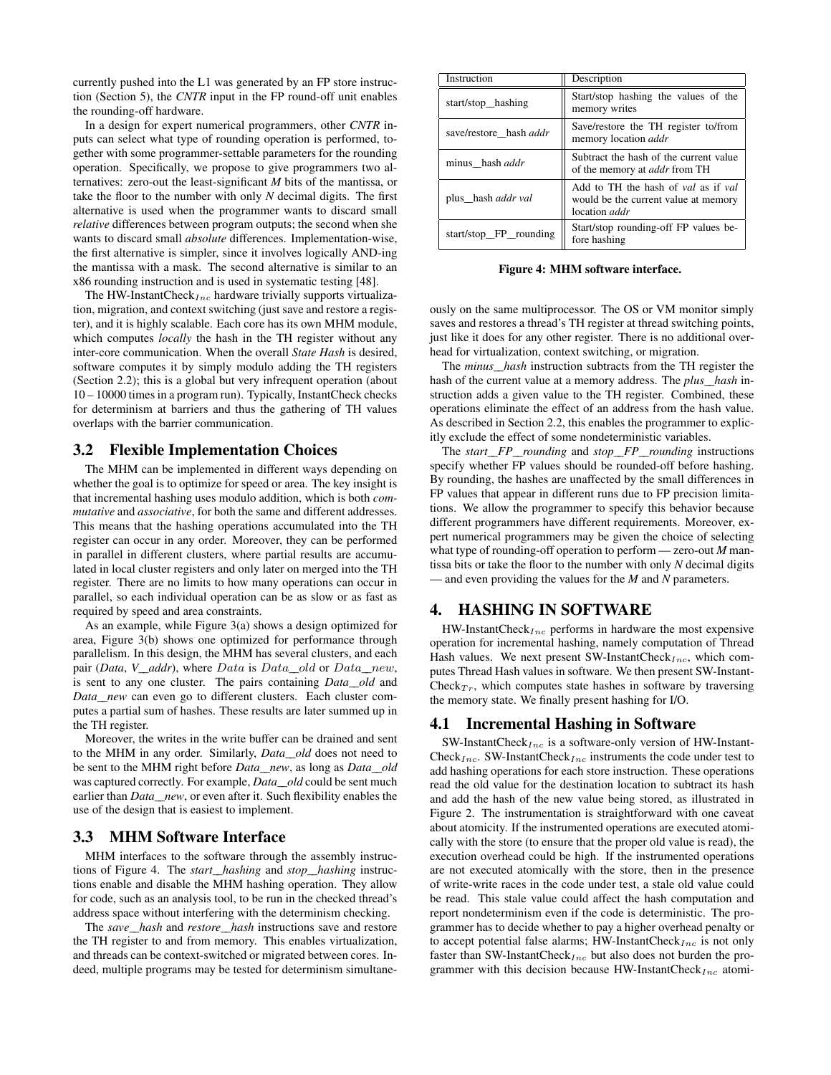currently pushed into the L1 was generated by an FP store instruction (Section 5), the *CNTR* input in the FP round-off unit enables the rounding-off hardware.

In a design for expert numerical programmers, other *CNTR* inputs can select what type of rounding operation is performed, together with some programmer-settable parameters for the rounding operation. Specifically, we propose to give programmers two alternatives: zero-out the least-significant *M* bits of the mantissa, or take the floor to the number with only *N* decimal digits. The first alternative is used when the programmer wants to discard small *relative* differences between program outputs; the second when she wants to discard small *absolute* differences. Implementation-wise, the first alternative is simpler, since it involves logically AND-ing the mantissa with a mask. The second alternative is similar to an x86 rounding instruction and is used in systematic testing [48].

The HW-InstantCheck $_{Inc}$  hardware trivially supports virtualization, migration, and context switching (just save and restore a register), and it is highly scalable. Each core has its own MHM module, which computes *locally* the hash in the TH register without any inter-core communication. When the overall *State Hash* is desired, software computes it by simply modulo adding the TH registers (Section 2.2); this is a global but very infrequent operation (about 10 – 10000 times in a program run). Typically, InstantCheck checks for determinism at barriers and thus the gathering of TH values overlaps with the barrier communication.

#### 3.2 Flexible Implementation Choices

The MHM can be implemented in different ways depending on whether the goal is to optimize for speed or area. The key insight is that incremental hashing uses modulo addition, which is both *commutative* and *associative*, for both the same and different addresses. This means that the hashing operations accumulated into the TH register can occur in any order. Moreover, they can be performed in parallel in different clusters, where partial results are accumulated in local cluster registers and only later on merged into the TH register. There are no limits to how many operations can occur in parallel, so each individual operation can be as slow or as fast as required by speed and area constraints.

As an example, while Figure 3(a) shows a design optimized for area, Figure 3(b) shows one optimized for performance through parallelism. In this design, the MHM has several clusters, and each pair (*Data*, *V\_\_addr*), where Data is Data\_\_old or Data\_\_new, is sent to any one cluster. The pairs containing *Data\_\_old* and *Data\_\_new* can even go to different clusters. Each cluster computes a partial sum of hashes. These results are later summed up in the TH register.

Moreover, the writes in the write buffer can be drained and sent to the MHM in any order. Similarly, *Data\_\_old* does not need to be sent to the MHM right before *Data\_\_new*, as long as *Data\_\_old* was captured correctly. For example, *Data\_\_old* could be sent much earlier than *Data\_\_new*, or even after it. Such flexibility enables the use of the design that is easiest to implement.

#### 3.3 MHM Software Interface

MHM interfaces to the software through the assembly instructions of Figure 4. The *start\_\_hashing* and *stop\_\_hashing* instructions enable and disable the MHM hashing operation. They allow for code, such as an analysis tool, to be run in the checked thread's address space without interfering with the determinism checking.

The *save\_\_hash* and *restore\_\_hash* instructions save and restore the TH register to and from memory. This enables virtualization, and threads can be context-switched or migrated between cores. Indeed, multiple programs may be tested for determinism simultane-

| Instruction                   | Description                                                                                                       |
|-------------------------------|-------------------------------------------------------------------------------------------------------------------|
| start/stop_hashing            | Start/stop hashing the values of the<br>memory writes                                                             |
| save/restore hash <i>addr</i> | Save/restore the TH register to/from<br>memory location <i>addr</i>                                               |
| minus hash <i>addr</i>        | Subtract the hash of the current value<br>of the memory at <i>addr</i> from TH                                    |
| plus hash <i>addr val</i>     | Add to TH the hash of <i>val</i> as if <i>val</i><br>would be the current value at memory<br>location <i>addr</i> |
| start/stop_FP_rounding        | Start/stop rounding-off FP values be-<br>fore hashing                                                             |

Figure 4: MHM software interface.

ously on the same multiprocessor. The OS or VM monitor simply saves and restores a thread's TH register at thread switching points, just like it does for any other register. There is no additional overhead for virtualization, context switching, or migration.

The *minus\_\_hash* instruction subtracts from the TH register the hash of the current value at a memory address. The *plus\_\_hash* instruction adds a given value to the TH register. Combined, these operations eliminate the effect of an address from the hash value. As described in Section 2.2, this enables the programmer to explicitly exclude the effect of some nondeterministic variables.

The *start\_\_FP\_\_rounding* and *stop\_\_FP\_\_rounding* instructions specify whether FP values should be rounded-off before hashing. By rounding, the hashes are unaffected by the small differences in FP values that appear in different runs due to FP precision limitations. We allow the programmer to specify this behavior because different programmers have different requirements. Moreover, expert numerical programmers may be given the choice of selecting what type of rounding-off operation to perform — zero-out *M* mantissa bits or take the floor to the number with only *N* decimal digits — and even providing the values for the *M* and *N* parameters.

#### 4. HASHING IN SOFTWARE

HW-InstantCheck $_{Inc}$  performs in hardware the most expensive operation for incremental hashing, namely computation of Thread Hash values. We next present SW-InstantCheck $_{Inc}$ , which computes Thread Hash values in software. We then present SW-Instant-Check<sub>Tr</sub>, which computes state hashes in software by traversing the memory state. We finally present hashing for I/O.

## 4.1 Incremental Hashing in Software

SW-InstantCheck $_{Inc}$  is a software-only version of HW-Instant-Check<sub>Inc</sub>. SW-InstantCheck<sub>Inc</sub> instruments the code under test to add hashing operations for each store instruction. These operations read the old value for the destination location to subtract its hash and add the hash of the new value being stored, as illustrated in Figure 2. The instrumentation is straightforward with one caveat about atomicity. If the instrumented operations are executed atomically with the store (to ensure that the proper old value is read), the execution overhead could be high. If the instrumented operations are not executed atomically with the store, then in the presence of write-write races in the code under test, a stale old value could be read. This stale value could affect the hash computation and report nondeterminism even if the code is deterministic. The programmer has to decide whether to pay a higher overhead penalty or to accept potential false alarms; HW-InstantCheck $_{Inc}$  is not only faster than SW-InstantCheck $_{Inc}$  but also does not burden the programmer with this decision because HW-InstantCheck $_{Inc}$  atomi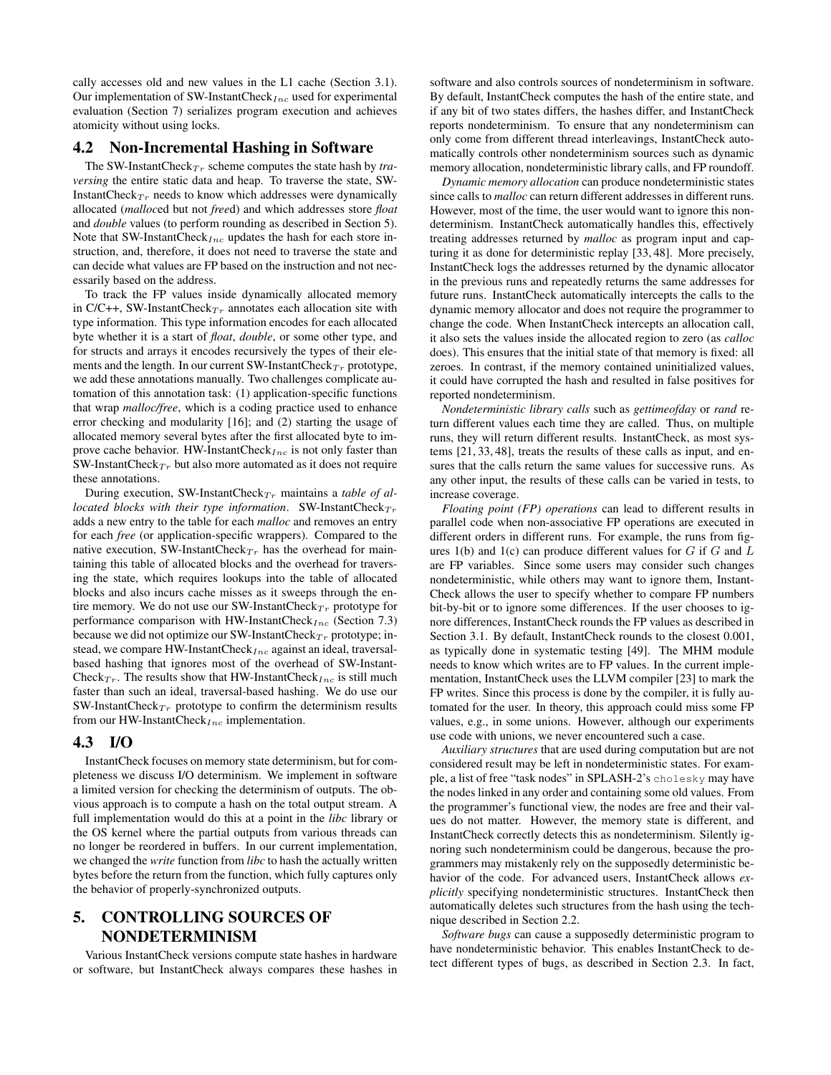cally accesses old and new values in the L1 cache (Section 3.1). Our implementation of SW-InstantCheck<sub>Inc</sub> used for experimental evaluation (Section 7) serializes program execution and achieves atomicity without using locks.

#### 4.2 Non-Incremental Hashing in Software

The SW-InstantCheck $_{Tr}$  scheme computes the state hash by  $tra$ *versing* the entire static data and heap. To traverse the state, SW-InstantCheck $_{Tr}$  needs to know which addresses were dynamically allocated (*malloc*ed but not *free*d) and which addresses store *float* and *double* values (to perform rounding as described in Section 5). Note that SW-InstantCheck $_{Inc}$  updates the hash for each store instruction, and, therefore, it does not need to traverse the state and can decide what values are FP based on the instruction and not necessarily based on the address.

To track the FP values inside dynamically allocated memory in C/C++, SW-InstantCheck $_{Tr}$  annotates each allocation site with type information. This type information encodes for each allocated byte whether it is a start of *float*, *double*, or some other type, and for structs and arrays it encodes recursively the types of their elements and the length. In our current SW-InstantCheck $_{Tr}$  prototype, we add these annotations manually. Two challenges complicate automation of this annotation task: (1) application-specific functions that wrap *malloc/free*, which is a coding practice used to enhance error checking and modularity [16]; and (2) starting the usage of allocated memory several bytes after the first allocated byte to improve cache behavior. HW-InstantCheck<sub>Inc</sub> is not only faster than SW-InstantCheck $_{Tr}$  but also more automated as it does not require these annotations.

During execution, SW-InstantCheck<sub>Tr</sub> maintains a *table of allocated blocks with their type information.* SW-InstantCheck $_{Tr}$ adds a new entry to the table for each *malloc* and removes an entry for each *free* (or application-specific wrappers). Compared to the native execution, SW-InstantCheck<sub>Tr</sub> has the overhead for maintaining this table of allocated blocks and the overhead for traversing the state, which requires lookups into the table of allocated blocks and also incurs cache misses as it sweeps through the entire memory. We do not use our SW-InstantCheck $_{Tr}$  prototype for performance comparison with HW-InstantCheck<sub>Inc</sub> (Section 7.3) because we did not optimize our SW-InstantCheck $_{Tr}$  prototype; instead, we compare HW-InstantCheck $_{Inc}$  against an ideal, traversalbased hashing that ignores most of the overhead of SW-Instant-Check<sub>Tr</sub>. The results show that HW-InstantCheck<sub>Inc</sub> is still much faster than such an ideal, traversal-based hashing. We do use our SW-InstantCheck $_{Tr}$  prototype to confirm the determinism results from our HW-InstantCheck $_{Inc}$  implementation.

#### 4.3 I/O

InstantCheck focuses on memory state determinism, but for completeness we discuss I/O determinism. We implement in software a limited version for checking the determinism of outputs. The obvious approach is to compute a hash on the total output stream. A full implementation would do this at a point in the *libc* library or the OS kernel where the partial outputs from various threads can no longer be reordered in buffers. In our current implementation, we changed the *write* function from *libc* to hash the actually written bytes before the return from the function, which fully captures only the behavior of properly-synchronized outputs.

# 5. CONTROLLING SOURCES OF NONDETERMINISM

Various InstantCheck versions compute state hashes in hardware or software, but InstantCheck always compares these hashes in

software and also controls sources of nondeterminism in software. By default, InstantCheck computes the hash of the entire state, and if any bit of two states differs, the hashes differ, and InstantCheck reports nondeterminism. To ensure that any nondeterminism can only come from different thread interleavings, InstantCheck automatically controls other nondeterminism sources such as dynamic memory allocation, nondeterministic library calls, and FP roundoff.

*Dynamic memory allocation* can produce nondeterministic states since calls to *malloc* can return different addresses in different runs. However, most of the time, the user would want to ignore this nondeterminism. InstantCheck automatically handles this, effectively treating addresses returned by *malloc* as program input and capturing it as done for deterministic replay [33, 48]. More precisely, InstantCheck logs the addresses returned by the dynamic allocator in the previous runs and repeatedly returns the same addresses for future runs. InstantCheck automatically intercepts the calls to the dynamic memory allocator and does not require the programmer to change the code. When InstantCheck intercepts an allocation call, it also sets the values inside the allocated region to zero (as *calloc* does). This ensures that the initial state of that memory is fixed: all zeroes. In contrast, if the memory contained uninitialized values, it could have corrupted the hash and resulted in false positives for reported nondeterminism.

*Nondeterministic library calls* such as *gettimeofday* or *rand* return different values each time they are called. Thus, on multiple runs, they will return different results. InstantCheck, as most systems [21, 33, 48], treats the results of these calls as input, and ensures that the calls return the same values for successive runs. As any other input, the results of these calls can be varied in tests, to increase coverage.

*Floating point (FP) operations* can lead to different results in parallel code when non-associative FP operations are executed in different orders in different runs. For example, the runs from figures 1(b) and 1(c) can produce different values for  $G$  if  $G$  and  $L$ are FP variables. Since some users may consider such changes nondeterministic, while others may want to ignore them, Instant-Check allows the user to specify whether to compare FP numbers bit-by-bit or to ignore some differences. If the user chooses to ignore differences, InstantCheck rounds the FP values as described in Section 3.1. By default, InstantCheck rounds to the closest 0.001, as typically done in systematic testing [49]. The MHM module needs to know which writes are to FP values. In the current implementation, InstantCheck uses the LLVM compiler [23] to mark the FP writes. Since this process is done by the compiler, it is fully automated for the user. In theory, this approach could miss some FP values, e.g., in some unions. However, although our experiments use code with unions, we never encountered such a case.

*Auxiliary structures* that are used during computation but are not considered result may be left in nondeterministic states. For example, a list of free "task nodes" in SPLASH-2's cholesky may have the nodes linked in any order and containing some old values. From the programmer's functional view, the nodes are free and their values do not matter. However, the memory state is different, and InstantCheck correctly detects this as nondeterminism. Silently ignoring such nondeterminism could be dangerous, because the programmers may mistakenly rely on the supposedly deterministic behavior of the code. For advanced users, InstantCheck allows *explicitly* specifying nondeterministic structures. InstantCheck then automatically deletes such structures from the hash using the technique described in Section 2.2.

*Software bugs* can cause a supposedly deterministic program to have nondeterministic behavior. This enables InstantCheck to detect different types of bugs, as described in Section 2.3. In fact,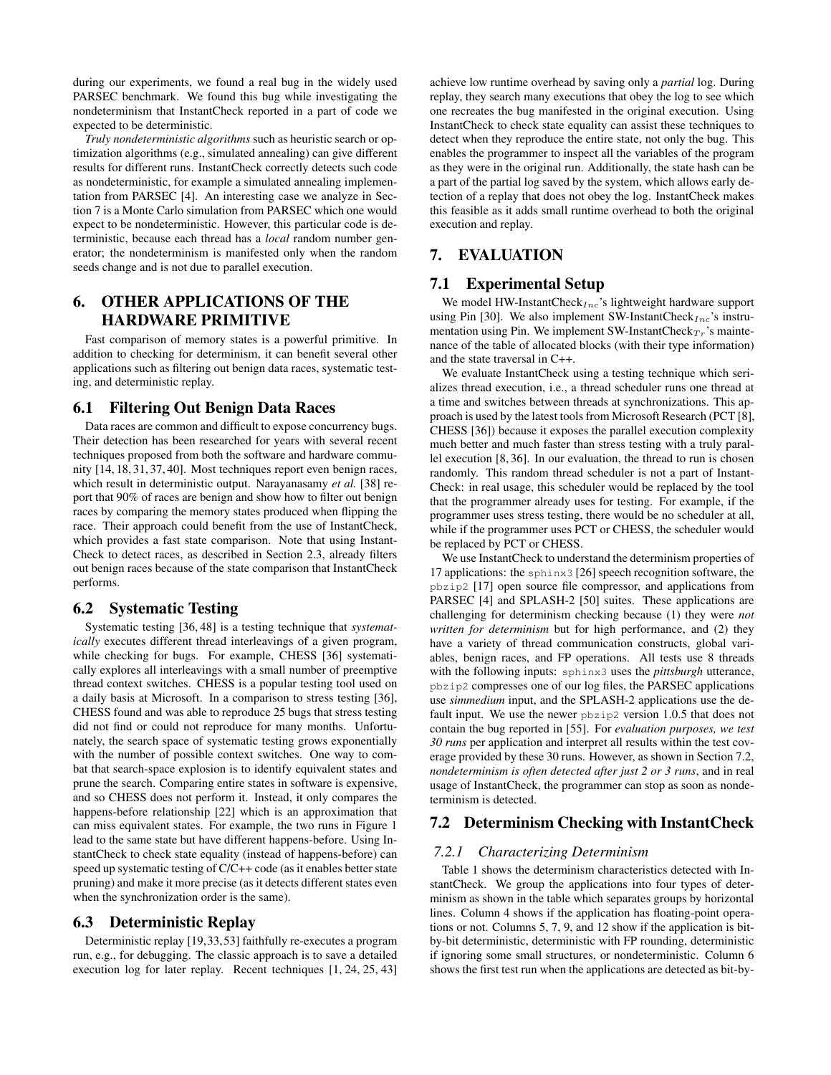during our experiments, we found a real bug in the widely used PARSEC benchmark. We found this bug while investigating the nondeterminism that InstantCheck reported in a part of code we expected to be deterministic.

*Truly nondeterministic algorithms* such as heuristic search or optimization algorithms (e.g., simulated annealing) can give different results for different runs. InstantCheck correctly detects such code as nondeterministic, for example a simulated annealing implementation from PARSEC [4]. An interesting case we analyze in Section 7 is a Monte Carlo simulation from PARSEC which one would expect to be nondeterministic. However, this particular code is deterministic, because each thread has a *local* random number generator; the nondeterminism is manifested only when the random seeds change and is not due to parallel execution.

# 6. OTHER APPLICATIONS OF THE HARDWARE PRIMITIVE

Fast comparison of memory states is a powerful primitive. In addition to checking for determinism, it can benefit several other applications such as filtering out benign data races, systematic testing, and deterministic replay.

#### 6.1 Filtering Out Benign Data Races

Data races are common and difficult to expose concurrency bugs. Their detection has been researched for years with several recent techniques proposed from both the software and hardware community [14, 18, 31, 37, 40]. Most techniques report even benign races, which result in deterministic output. Narayanasamy *et al.* [38] report that 90% of races are benign and show how to filter out benign races by comparing the memory states produced when flipping the race. Their approach could benefit from the use of InstantCheck, which provides a fast state comparison. Note that using Instant-Check to detect races, as described in Section 2.3, already filters out benign races because of the state comparison that InstantCheck performs.

#### 6.2 Systematic Testing

Systematic testing [36, 48] is a testing technique that *systematically* executes different thread interleavings of a given program, while checking for bugs. For example, CHESS [36] systematically explores all interleavings with a small number of preemptive thread context switches. CHESS is a popular testing tool used on a daily basis at Microsoft. In a comparison to stress testing [36], CHESS found and was able to reproduce 25 bugs that stress testing did not find or could not reproduce for many months. Unfortunately, the search space of systematic testing grows exponentially with the number of possible context switches. One way to combat that search-space explosion is to identify equivalent states and prune the search. Comparing entire states in software is expensive, and so CHESS does not perform it. Instead, it only compares the happens-before relationship [22] which is an approximation that can miss equivalent states. For example, the two runs in Figure 1 lead to the same state but have different happens-before. Using InstantCheck to check state equality (instead of happens-before) can speed up systematic testing of C/C++ code (as it enables better state pruning) and make it more precise (as it detects different states even when the synchronization order is the same).

#### 6.3 Deterministic Replay

Deterministic replay [19,33,53] faithfully re-executes a program run, e.g., for debugging. The classic approach is to save a detailed execution log for later replay. Recent techniques [1, 24, 25, 43] achieve low runtime overhead by saving only a *partial* log. During replay, they search many executions that obey the log to see which one recreates the bug manifested in the original execution. Using InstantCheck to check state equality can assist these techniques to detect when they reproduce the entire state, not only the bug. This enables the programmer to inspect all the variables of the program as they were in the original run. Additionally, the state hash can be a part of the partial log saved by the system, which allows early detection of a replay that does not obey the log. InstantCheck makes this feasible as it adds small runtime overhead to both the original execution and replay.

# 7. EVALUATION

#### 7.1 Experimental Setup

We model HW-InstantCheck $_{Inc}$ 's lightweight hardware support using Pin [30]. We also implement SW-InstantCheck $_{Inc}$ 's instrumentation using Pin. We implement SW-InstantCheck $_{Tr}$ 's maintenance of the table of allocated blocks (with their type information) and the state traversal in C++.

We evaluate InstantCheck using a testing technique which serializes thread execution, i.e., a thread scheduler runs one thread at a time and switches between threads at synchronizations. This approach is used by the latest tools from Microsoft Research (PCT [8], CHESS [36]) because it exposes the parallel execution complexity much better and much faster than stress testing with a truly parallel execution [8, 36]. In our evaluation, the thread to run is chosen randomly. This random thread scheduler is not a part of Instant-Check: in real usage, this scheduler would be replaced by the tool that the programmer already uses for testing. For example, if the programmer uses stress testing, there would be no scheduler at all, while if the programmer uses PCT or CHESS, the scheduler would be replaced by PCT or CHESS.

We use InstantCheck to understand the determinism properties of 17 applications: the sphinx3 [26] speech recognition software, the pbzip2 [17] open source file compressor, and applications from PARSEC [4] and SPLASH-2 [50] suites. These applications are challenging for determinism checking because (1) they were *not written for determinism* but for high performance, and (2) they have a variety of thread communication constructs, global variables, benign races, and FP operations. All tests use 8 threads with the following inputs: sphinx3 uses the *pittsburgh* utterance, pbzip2 compresses one of our log files, the PARSEC applications use *simmedium* input, and the SPLASH-2 applications use the default input. We use the newer pbzip2 version 1.0.5 that does not contain the bug reported in [55]. For *evaluation purposes, we test 30 runs* per application and interpret all results within the test coverage provided by these 30 runs. However, as shown in Section 7.2, *nondeterminism is often detected after just 2 or 3 runs*, and in real usage of InstantCheck, the programmer can stop as soon as nondeterminism is detected.

#### 7.2 Determinism Checking with InstantCheck

#### *7.2.1 Characterizing Determinism*

Table 1 shows the determinism characteristics detected with InstantCheck. We group the applications into four types of determinism as shown in the table which separates groups by horizontal lines. Column 4 shows if the application has floating-point operations or not. Columns 5, 7, 9, and 12 show if the application is bitby-bit deterministic, deterministic with FP rounding, deterministic if ignoring some small structures, or nondeterministic. Column 6 shows the first test run when the applications are detected as bit-by-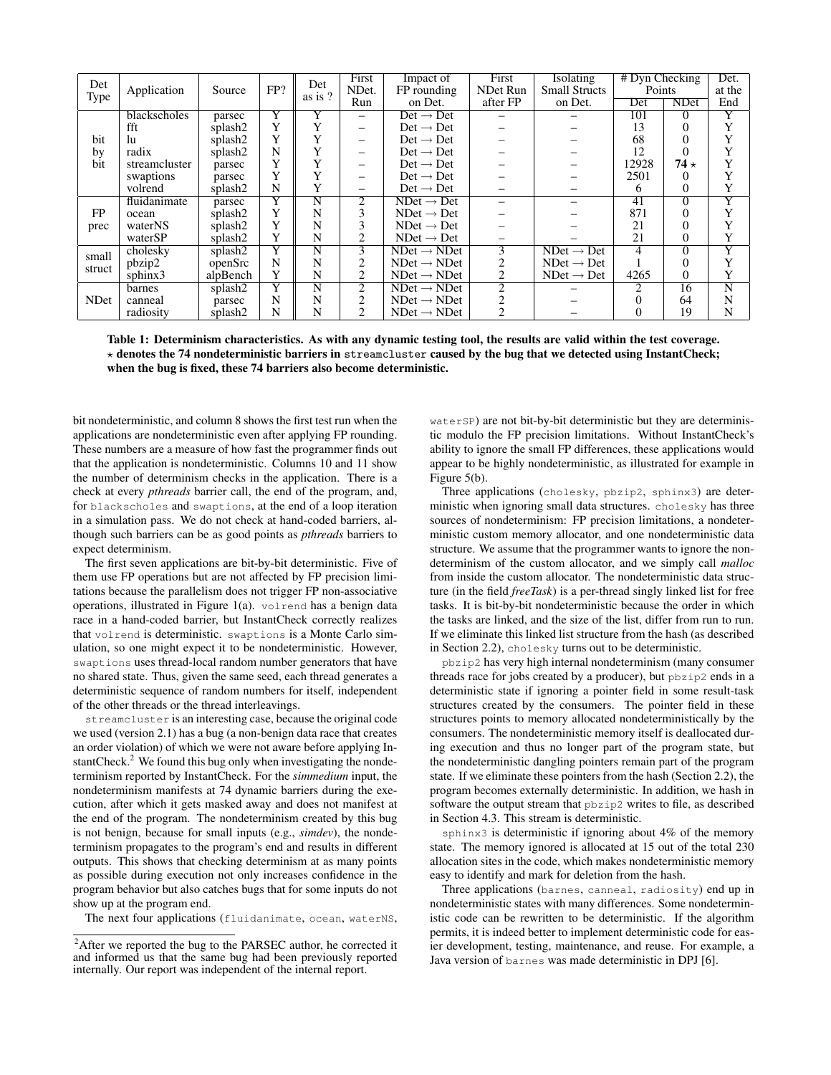| Det         |               |          |     | Det          | First          | Impact of               | First    | Isolating              | $#$ Dyn Checking |                | Det.       |
|-------------|---------------|----------|-----|--------------|----------------|-------------------------|----------|------------------------|------------------|----------------|------------|
| <b>Type</b> | Application   | Source   | FP? | as is ?      | NDet.          | FP rounding             | NDet Run | <b>Small Structs</b>   | Points           |                | at the     |
|             |               |          |     |              | Run            | on Det.                 | after FP | on Det.                | Det              | <b>NDet</b>    | End        |
|             | blackscholes  | parsec   | Y   |              |                | $Det \rightarrow Det$   |          |                        | 101              | 0              | Y          |
|             | fft           | splash2  | Y   | $\mathbf{v}$ |                | $Det \rightarrow Det$   |          |                        | 13               | 0              | v          |
| bit         | lu            | splash2  | Y   |              |                | $Det \rightarrow Det$   |          |                        | 68               | $\Omega$       |            |
| by          | radix         | splash2  | N   |              |                | $Det \rightarrow Det$   |          |                        | 12               | $\Omega$       |            |
| bit         | streamcluster | parsec   | Y   | v            |                | $Det \rightarrow Det$   |          |                        | 12928            | $74*$          |            |
|             | swaptions     | parsec   | Y   |              |                | $Det \rightarrow Det$   |          |                        | 2501             | 0              |            |
|             | volrend       | splash2  | N   | Y            |                | $Det \rightarrow Det$   |          |                        | 6                | $\overline{0}$ |            |
|             | fluidanimate  | parsec   | Y   | N            | 2              | $NDet \rightarrow Det$  |          |                        | 41               | $\overline{0}$ |            |
| FP          | ocean         | splash2  | Y   | N            | 3              | $NDet \rightarrow Det$  |          |                        | 871              | $\Omega$       |            |
| prec        | waterNS       | splash2  | Y   | N            |                | $NDet \rightarrow Det$  |          |                        | 21               | $\Omega$       |            |
|             | waterSP       | splash2  | Y   | N            | 2              | $NDet \rightarrow Det$  |          |                        | 21               | $\theta$       |            |
| small       | cholesky      | splash2  | Y   | N            | 3              | $NDet \rightarrow NDet$ |          | $NDet \rightarrow Det$ | 4                | $\Omega$       | Y          |
|             | pbzip2        | openSrc  | N   | N            | 2              | $NDet \rightarrow NDet$ |          | $NDet \rightarrow Det$ |                  | $\Omega$       |            |
| struct      | $s$ phinx $3$ | alpBench | Y   | N            | 2              | $NDet \rightarrow NDet$ |          | $NDet \rightarrow Det$ | 4265             | $\overline{0}$ |            |
|             | barnes        | splash2  | Y   | N            | 2              | $NDet \rightarrow NDet$ |          |                        |                  | 16             | $_{\rm N}$ |
| <b>NDet</b> | canneal       | parsec   | N   | N            | $\overline{2}$ | $NDet \rightarrow NDet$ |          |                        |                  | 64             | N          |
|             | radiosity     | splash2  | N   | N            | 2              | $NDet \rightarrow NDet$ |          |                        |                  | 19             | N          |

| Table 1: Determinism characteristics. As with any dynamic testing tool, the results are valid within the test coverage.  |
|--------------------------------------------------------------------------------------------------------------------------|
| $\star$ denotes the 74 nondeterministic barriers in streamcluster caused by the bug that we detected using InstantCheck; |
| when the bug is fixed, these 74 barriers also become deterministic.                                                      |

bit nondeterministic, and column 8 shows the first test run when the applications are nondeterministic even after applying FP rounding. These numbers are a measure of how fast the programmer finds out that the application is nondeterministic. Columns 10 and 11 show the number of determinism checks in the application. There is a check at every *pthreads* barrier call, the end of the program, and, for blackscholes and swaptions, at the end of a loop iteration in a simulation pass. We do not check at hand-coded barriers, although such barriers can be as good points as *pthreads* barriers to expect determinism.

The first seven applications are bit-by-bit deterministic. Five of them use FP operations but are not affected by FP precision limitations because the parallelism does not trigger FP non-associative operations, illustrated in Figure 1(a). volrend has a benign data race in a hand-coded barrier, but InstantCheck correctly realizes that volrend is deterministic. swaptions is a Monte Carlo simulation, so one might expect it to be nondeterministic. However, swaptions uses thread-local random number generators that have no shared state. Thus, given the same seed, each thread generates a deterministic sequence of random numbers for itself, independent of the other threads or the thread interleavings.

streamcluster is an interesting case, because the original code we used (version 2.1) has a bug (a non-benign data race that creates an order violation) of which we were not aware before applying InstantCheck.<sup>2</sup> We found this bug only when investigating the nondeterminism reported by InstantCheck. For the *simmedium* input, the nondeterminism manifests at 74 dynamic barriers during the execution, after which it gets masked away and does not manifest at the end of the program. The nondeterminism created by this bug is not benign, because for small inputs (e.g., *simdev*), the nondeterminism propagates to the program's end and results in different outputs. This shows that checking determinism at as many points as possible during execution not only increases confidence in the program behavior but also catches bugs that for some inputs do not show up at the program end.

The next four applications (fluidanimate, ocean, waterNS,

waterSP) are not bit-by-bit deterministic but they are deterministic modulo the FP precision limitations. Without InstantCheck's ability to ignore the small FP differences, these applications would appear to be highly nondeterministic, as illustrated for example in Figure 5(b).

Three applications (cholesky, pbzip2, sphinx3) are deterministic when ignoring small data structures. cholesky has three sources of nondeterminism: FP precision limitations, a nondeterministic custom memory allocator, and one nondeterministic data structure. We assume that the programmer wants to ignore the nondeterminism of the custom allocator, and we simply call *malloc* from inside the custom allocator. The nondeterministic data structure (in the field *freeTask*) is a per-thread singly linked list for free tasks. It is bit-by-bit nondeterministic because the order in which the tasks are linked, and the size of the list, differ from run to run. If we eliminate this linked list structure from the hash (as described in Section 2.2), cholesky turns out to be deterministic.

pbzip2 has very high internal nondeterminism (many consumer threads race for jobs created by a producer), but pbzip2 ends in a deterministic state if ignoring a pointer field in some result-task structures created by the consumers. The pointer field in these structures points to memory allocated nondeterministically by the consumers. The nondeterministic memory itself is deallocated during execution and thus no longer part of the program state, but the nondeterministic dangling pointers remain part of the program state. If we eliminate these pointers from the hash (Section 2.2), the program becomes externally deterministic. In addition, we hash in software the output stream that pbzip2 writes to file, as described in Section 4.3. This stream is deterministic.

sphinx3 is deterministic if ignoring about 4% of the memory state. The memory ignored is allocated at 15 out of the total 230 allocation sites in the code, which makes nondeterministic memory easy to identify and mark for deletion from the hash.

Three applications (barnes, canneal, radiosity) end up in nondeterministic states with many differences. Some nondeterministic code can be rewritten to be deterministic. If the algorithm permits, it is indeed better to implement deterministic code for easier development, testing, maintenance, and reuse. For example, a Java version of barnes was made deterministic in DPJ [6].

<sup>&</sup>lt;sup>2</sup>After we reported the bug to the PARSEC author, he corrected it and informed us that the same bug had been previously reported internally. Our report was independent of the internal report.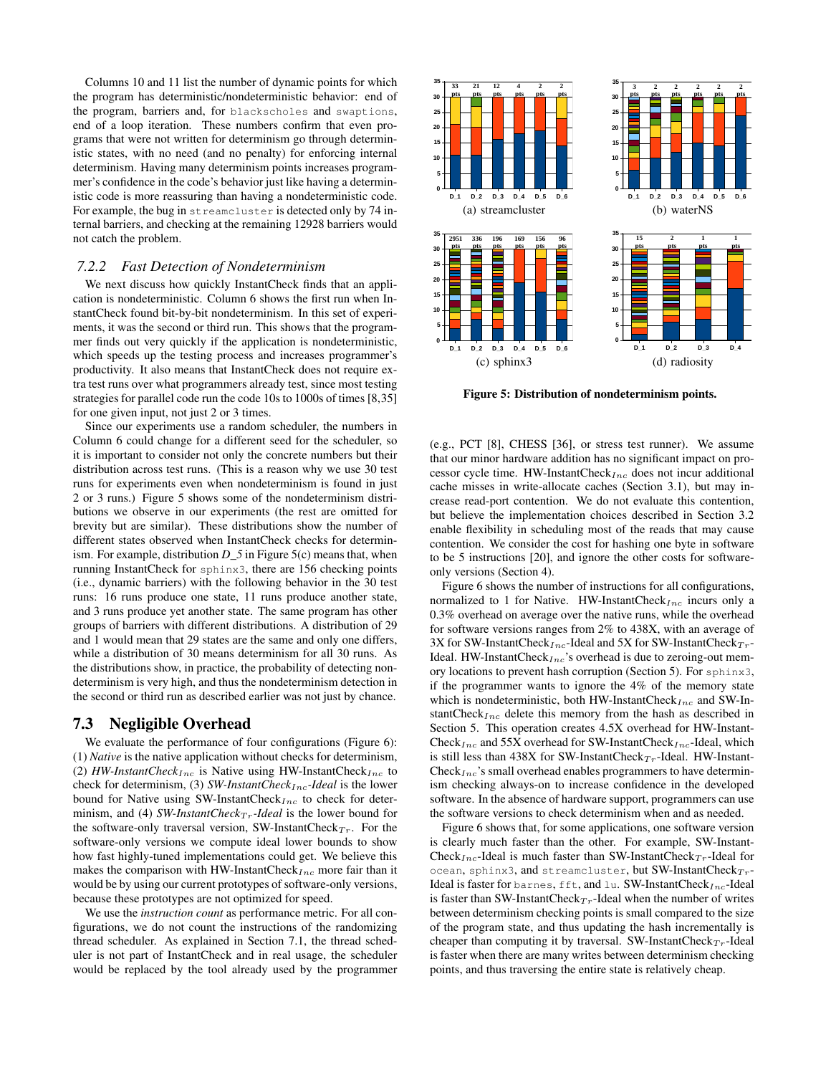Columns 10 and 11 list the number of dynamic points for which the program has deterministic/nondeterministic behavior: end of the program, barriers and, for blackscholes and swaptions, end of a loop iteration. These numbers confirm that even programs that were not written for determinism go through deterministic states, with no need (and no penalty) for enforcing internal determinism. Having many determinism points increases programmer's confidence in the code's behavior just like having a deterministic code is more reassuring than having a nondeterministic code. For example, the bug in streamcluster is detected only by 74 internal barriers, and checking at the remaining 12928 barriers would not catch the problem.

#### *7.2.2 Fast Detection of Nondeterminism*

We next discuss how quickly InstantCheck finds that an application is nondeterministic. Column 6 shows the first run when InstantCheck found bit-by-bit nondeterminism. In this set of experiments, it was the second or third run. This shows that the programmer finds out very quickly if the application is nondeterministic, which speeds up the testing process and increases programmer's productivity. It also means that InstantCheck does not require extra test runs over what programmers already test, since most testing strategies for parallel code run the code 10s to 1000s of times [8,35] for one given input, not just 2 or 3 times.

Since our experiments use a random scheduler, the numbers in Column 6 could change for a different seed for the scheduler, so it is important to consider not only the concrete numbers but their distribution across test runs. (This is a reason why we use 30 test runs for experiments even when nondeterminism is found in just 2 or 3 runs.) Figure 5 shows some of the nondeterminism distributions we observe in our experiments (the rest are omitted for brevity but are similar). These distributions show the number of different states observed when InstantCheck checks for determinism. For example, distribution *D\_5* in Figure 5(c) means that, when running InstantCheck for sphinx3, there are 156 checking points (i.e., dynamic barriers) with the following behavior in the 30 test runs: 16 runs produce one state, 11 runs produce another state, and 3 runs produce yet another state. The same program has other groups of barriers with different distributions. A distribution of 29 and 1 would mean that 29 states are the same and only one differs, while a distribution of 30 means determinism for all 30 runs. As the distributions show, in practice, the probability of detecting nondeterminism is very high, and thus the nondeterminism detection in the second or third run as described earlier was not just by chance.

#### 7.3 Negligible Overhead

We evaluate the performance of four configurations (Figure 6): (1) *Native* is the native application without checks for determinism, (2) *HW-InstantCheck*<sub>Inc</sub> is Native using HW-InstantCheck<sub>Inc</sub> to check for determinism, (3) *SW-InstantCheck<sub>Inc</sub>-Ideal* is the lower bound for Native using SW-InstantCheck $_{Inc}$  to check for determinism, and (4) *SW-InstantCheck* $_{Tr}$ *-Ideal* is the lower bound for the software-only traversal version, SW-InstantCheck $_{Tr}$ . For the software-only versions we compute ideal lower bounds to show how fast highly-tuned implementations could get. We believe this makes the comparison with HW-InstantCheck<sub>Inc</sub> more fair than it would be by using our current prototypes of software-only versions, because these prototypes are not optimized for speed.

We use the *instruction count* as performance metric. For all configurations, we do not count the instructions of the randomizing thread scheduler. As explained in Section 7.1, the thread scheduler is not part of InstantCheck and in real usage, the scheduler would be replaced by the tool already used by the programmer



Figure 5: Distribution of nondeterminism points.

(e.g., PCT [8], CHESS [36], or stress test runner). We assume that our minor hardware addition has no significant impact on processor cycle time. HW-InstantCheck<sub>Inc</sub> does not incur additional cache misses in write-allocate caches (Section 3.1), but may increase read-port contention. We do not evaluate this contention, but believe the implementation choices described in Section 3.2 enable flexibility in scheduling most of the reads that may cause contention. We consider the cost for hashing one byte in software to be 5 instructions [20], and ignore the other costs for softwareonly versions (Section 4).

Figure 6 shows the number of instructions for all configurations, normalized to 1 for Native. HW-InstantCheck $_{Inc}$  incurs only a 0.3% overhead on average over the native runs, while the overhead for software versions ranges from 2% to 438X, with an average of 3X for SW-InstantCheck<sub>Inc</sub>-Ideal and 5X for SW-InstantCheck<sub>Tr</sub>-Ideal. HW-InstantCheck $_{Inc}$ 's overhead is due to zeroing-out memory locations to prevent hash corruption (Section 5). For sphinx3, if the programmer wants to ignore the 4% of the memory state which is nondeterministic, both HW-InstantCheck $_{Inc}$  and SW-InstantCheck $_{Inc}$  delete this memory from the hash as described in Section 5. This operation creates 4.5X overhead for HW-Instant-Check<sub>Inc</sub> and 55X overhead for SW-InstantCheck<sub>Inc</sub>-Ideal, which is still less than 438X for SW-InstantCheck<sub>Tr</sub>-Ideal. HW-Instant- $Check<sub>Inc</sub>$ 's small overhead enables programmers to have determinism checking always-on to increase confidence in the developed software. In the absence of hardware support, programmers can use the software versions to check determinism when and as needed.

Figure 6 shows that, for some applications, one software version is clearly much faster than the other. For example, SW-Instant-Check<sub>Inc</sub>-Ideal is much faster than SW-InstantCheck<sub>Tr</sub>-Ideal for ocean, sphinx3, and streamcluster, but SW-InstantCheck $_{Tr}$ -Ideal is faster for barnes, fft, and lu. SW-InstantCheck $_{Inc}$ -Ideal is faster than SW-InstantCheck $_{Tr}$ -Ideal when the number of writes between determinism checking points is small compared to the size of the program state, and thus updating the hash incrementally is cheaper than computing it by traversal. SW-InstantCheck $_{Tr}$ -Ideal is faster when there are many writes between determinism checking points, and thus traversing the entire state is relatively cheap.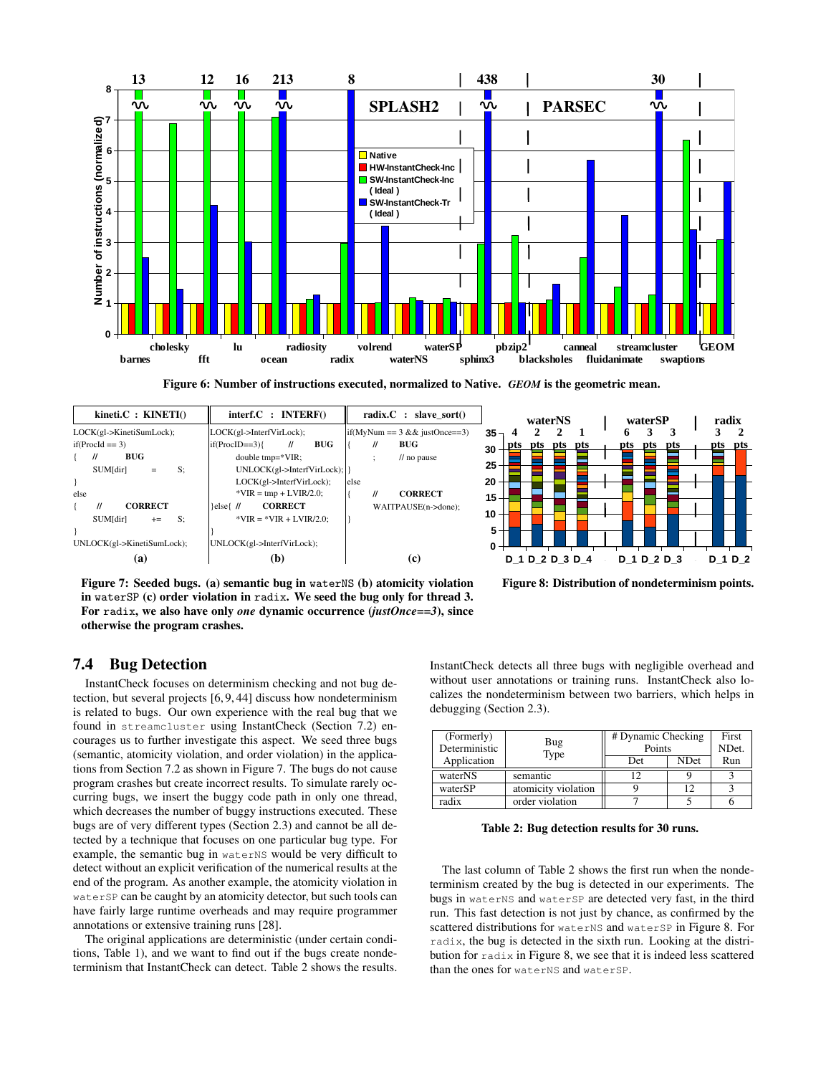

Figure 6: Number of instructions executed, normalized to Native. *GEOM* is the geometric mean.





Figure 7: Seeded bugs. (a) semantic bug in waterNS (b) atomicity violation in waterSP (c) order violation in radix. We seed the bug only for thread 3. For radix, we also have only *one* dynamic occurrence (*justOnce==3*), since otherwise the program crashes.

Figure 8: Distribution of nondeterminism points.

#### 7.4 Bug Detection

InstantCheck focuses on determinism checking and not bug detection, but several projects [6, 9, 44] discuss how nondeterminism is related to bugs. Our own experience with the real bug that we found in streamcluster using InstantCheck (Section 7.2) encourages us to further investigate this aspect. We seed three bugs (semantic, atomicity violation, and order violation) in the applications from Section 7.2 as shown in Figure 7. The bugs do not cause program crashes but create incorrect results. To simulate rarely occurring bugs, we insert the buggy code path in only one thread, which decreases the number of buggy instructions executed. These bugs are of very different types (Section 2.3) and cannot be all detected by a technique that focuses on one particular bug type. For example, the semantic bug in waterNS would be very difficult to detect without an explicit verification of the numerical results at the end of the program. As another example, the atomicity violation in waterSP can be caught by an atomicity detector, but such tools can have fairly large runtime overheads and may require programmer annotations or extensive training runs [28].

The original applications are deterministic (under certain conditions, Table 1), and we want to find out if the bugs create nondeterminism that InstantCheck can detect. Table 2 shows the results. InstantCheck detects all three bugs with negligible overhead and without user annotations or training runs. InstantCheck also localizes the nondeterminism between two barriers, which helps in debugging (Section 2.3).

| (Formerly)<br>Deterministic | Bug<br>Type         | # Dynamic Checking<br>Points | First<br>NDet. |     |
|-----------------------------|---------------------|------------------------------|----------------|-----|
| Application                 |                     | Det                          | <b>NDet</b>    | Run |
| waterNS                     | semantic            |                              |                |     |
| waterSP                     | atomicity violation |                              | 12             |     |
| radix                       | order violation     |                              |                |     |

Table 2: Bug detection results for 30 runs.

The last column of Table 2 shows the first run when the nondeterminism created by the bug is detected in our experiments. The bugs in waterNS and waterSP are detected very fast, in the third run. This fast detection is not just by chance, as confirmed by the scattered distributions for waterNS and waterSP in Figure 8. For radix, the bug is detected in the sixth run. Looking at the distribution for radix in Figure 8, we see that it is indeed less scattered than the ones for waterNS and waterSP.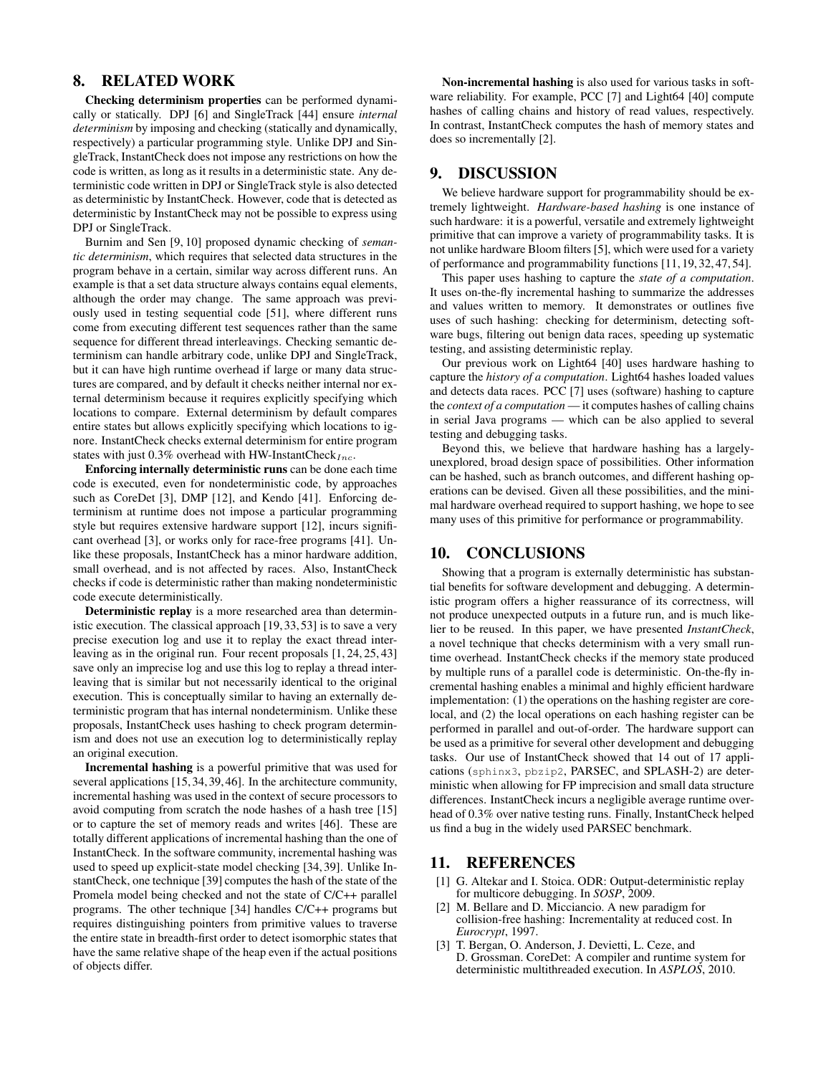## 8. RELATED WORK

Checking determinism properties can be performed dynamically or statically. DPJ [6] and SingleTrack [44] ensure *internal determinism* by imposing and checking (statically and dynamically, respectively) a particular programming style. Unlike DPJ and SingleTrack, InstantCheck does not impose any restrictions on how the code is written, as long as it results in a deterministic state. Any deterministic code written in DPJ or SingleTrack style is also detected as deterministic by InstantCheck. However, code that is detected as deterministic by InstantCheck may not be possible to express using DPJ or SingleTrack.

Burnim and Sen [9, 10] proposed dynamic checking of *semantic determinism*, which requires that selected data structures in the program behave in a certain, similar way across different runs. An example is that a set data structure always contains equal elements, although the order may change. The same approach was previously used in testing sequential code [51], where different runs come from executing different test sequences rather than the same sequence for different thread interleavings. Checking semantic determinism can handle arbitrary code, unlike DPJ and SingleTrack, but it can have high runtime overhead if large or many data structures are compared, and by default it checks neither internal nor external determinism because it requires explicitly specifying which locations to compare. External determinism by default compares entire states but allows explicitly specifying which locations to ignore. InstantCheck checks external determinism for entire program states with just 0.3% overhead with HW-InstantCheck<sub>Inc</sub>.

Enforcing internally deterministic runs can be done each time code is executed, even for nondeterministic code, by approaches such as CoreDet [3], DMP [12], and Kendo [41]. Enforcing determinism at runtime does not impose a particular programming style but requires extensive hardware support [12], incurs significant overhead [3], or works only for race-free programs [41]. Unlike these proposals, InstantCheck has a minor hardware addition, small overhead, and is not affected by races. Also, InstantCheck checks if code is deterministic rather than making nondeterministic code execute deterministically.

Deterministic replay is a more researched area than deterministic execution. The classical approach [19,33,53] is to save a very precise execution log and use it to replay the exact thread interleaving as in the original run. Four recent proposals [1, 24, 25, 43] save only an imprecise log and use this log to replay a thread interleaving that is similar but not necessarily identical to the original execution. This is conceptually similar to having an externally deterministic program that has internal nondeterminism. Unlike these proposals, InstantCheck uses hashing to check program determinism and does not use an execution log to deterministically replay an original execution.

Incremental hashing is a powerful primitive that was used for several applications [15,34,39,46]. In the architecture community, incremental hashing was used in the context of secure processors to avoid computing from scratch the node hashes of a hash tree [15] or to capture the set of memory reads and writes [46]. These are totally different applications of incremental hashing than the one of InstantCheck. In the software community, incremental hashing was used to speed up explicit-state model checking [34, 39]. Unlike InstantCheck, one technique [39] computes the hash of the state of the Promela model being checked and not the state of C/C++ parallel programs. The other technique [34] handles C/C++ programs but requires distinguishing pointers from primitive values to traverse the entire state in breadth-first order to detect isomorphic states that have the same relative shape of the heap even if the actual positions of objects differ.

Non-incremental hashing is also used for various tasks in software reliability. For example, PCC [7] and Light64 [40] compute hashes of calling chains and history of read values, respectively. In contrast, InstantCheck computes the hash of memory states and does so incrementally [2].

## 9. DISCUSSION

We believe hardware support for programmability should be extremely lightweight. *Hardware-based hashing* is one instance of such hardware: it is a powerful, versatile and extremely lightweight primitive that can improve a variety of programmability tasks. It is not unlike hardware Bloom filters [5], which were used for a variety of performance and programmability functions [11, 19, 32, 47, 54].

This paper uses hashing to capture the *state of a computation*. It uses on-the-fly incremental hashing to summarize the addresses and values written to memory. It demonstrates or outlines five uses of such hashing: checking for determinism, detecting software bugs, filtering out benign data races, speeding up systematic testing, and assisting deterministic replay.

Our previous work on Light64 [40] uses hardware hashing to capture the *history of a computation*. Light64 hashes loaded values and detects data races. PCC [7] uses (software) hashing to capture the *context of a computation* — it computes hashes of calling chains in serial Java programs — which can be also applied to several testing and debugging tasks.

Beyond this, we believe that hardware hashing has a largelyunexplored, broad design space of possibilities. Other information can be hashed, such as branch outcomes, and different hashing operations can be devised. Given all these possibilities, and the minimal hardware overhead required to support hashing, we hope to see many uses of this primitive for performance or programmability.

## 10. CONCLUSIONS

Showing that a program is externally deterministic has substantial benefits for software development and debugging. A deterministic program offers a higher reassurance of its correctness, will not produce unexpected outputs in a future run, and is much likelier to be reused. In this paper, we have presented *InstantCheck*, a novel technique that checks determinism with a very small runtime overhead. InstantCheck checks if the memory state produced by multiple runs of a parallel code is deterministic. On-the-fly incremental hashing enables a minimal and highly efficient hardware implementation: (1) the operations on the hashing register are corelocal, and (2) the local operations on each hashing register can be performed in parallel and out-of-order. The hardware support can be used as a primitive for several other development and debugging tasks. Our use of InstantCheck showed that 14 out of 17 applications (sphinx3, pbzip2, PARSEC, and SPLASH-2) are deterministic when allowing for FP imprecision and small data structure differences. InstantCheck incurs a negligible average runtime overhead of 0.3% over native testing runs. Finally, InstantCheck helped us find a bug in the widely used PARSEC benchmark.

#### 11. REFERENCES

- [1] G. Altekar and I. Stoica. ODR: Output-deterministic replay for multicore debugging. In *SOSP*, 2009.
- [2] M. Bellare and D. Micciancio. A new paradigm for collision-free hashing: Incrementality at reduced cost. In *Eurocrypt*, 1997.
- [3] T. Bergan, O. Anderson, J. Devietti, L. Ceze, and D. Grossman. CoreDet: A compiler and runtime system for deterministic multithreaded execution. In *ASPLOS*, 2010.